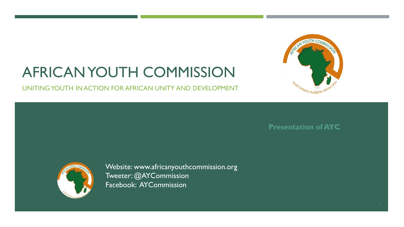# READY OUTH COM outh United in Action for P

## AFRICAN YOUTH COMMISSION

UNITING YOUTH IN ACTION FOR AFRICAN UNITY AND DEVELOPMENT

**Presentation of AYC**



Website: www.africanyouthcommission.org Tweeter: @AYCommission Facebook: AYCommission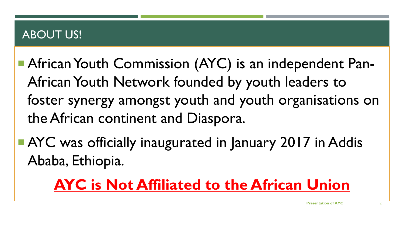#### ABOUT US!

- African Youth Commission (AYC) is an independent Pan-African Youth Network founded by youth leaders to foster synergy amongst youth and youth organisations on the African continent and Diaspora.
- **AYC** was officially inaugurated in January 2017 in Addis Ababa, Ethiopia.

## **AYC is Not Affiliated to the African Union**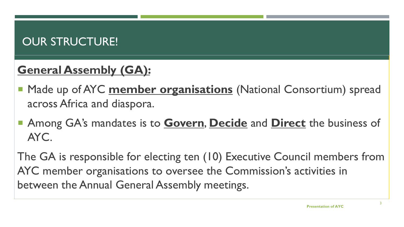### OUR STRUCTURE!

## **General Assembly (GA):**

- **Made up of AYC member organisations** (National Consortium) spread across Africa and diaspora.
- Among GA's mandates is to **Govern**, **Decide** and **Direct** the business of AYC.

The GA is responsible for electing ten (10) Executive Council members from AYC member organisations to oversee the Commission's activities in between the Annual General Assembly meetings.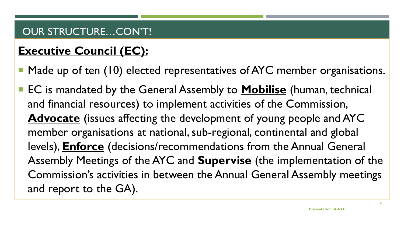#### OUR STRUCTURE…CON'T!

## **Executive Council (EC):**

- Made up of ten (10) elected representatives of AYC member organisations.
- EC is mandated by the General Assembly to **Mobilise** (human, technical and financial resources) to implement activities of the Commission, **Advocate** (issues affecting the development of young people and AYC member organisations at national, sub-regional, continental and global levels), **Enforce** (decisions/recommendations from the Annual General Assembly Meetings of the AYC and **Supervise** (the implementation of the Commission's activities in between the Annual General Assembly meetings and report to the GA).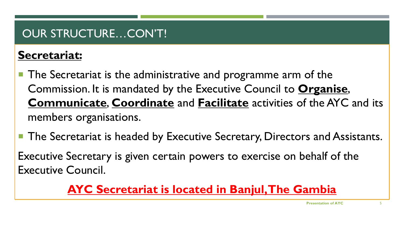### OUR STRUCTURE…CON'T!

### **Secretariat:**

- The Secretariat is the administrative and programme arm of the Commission. It is mandated by the Executive Council to **Organise**, **Communicate**, **Coordinate** and **Facilitate** activities of the AYC and its members organisations.
- The Secretariat is headed by Executive Secretary, Directors and Assistants.
- Executive Secretary is given certain powers to exercise on behalf of the Executive Council.

### **AYC Secretariat is located in Banjul, The Gambia**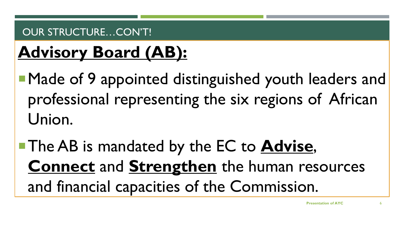#### OUR STRUCTURE...CON'T!

## **Advisory Board (AB):**

■Made of 9 appointed distinguished youth leaders and professional representing the six regions of African Union.

The AB is mandated by the EC to **Advise**, **Connect** and **Strengthen** the human resources and financial capacities of the Commission.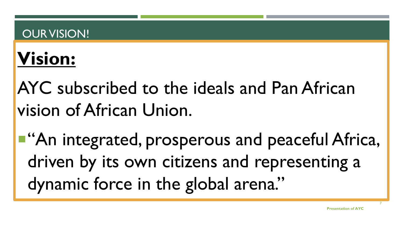#### OUR VISION!

## **Vision:**

## AYC subscribed to the ideals and Pan African vision of African Union.

**"**"An integrated, prosperous and peaceful Africa, driven by its own citizens and representing a dynamic force in the global arena."

7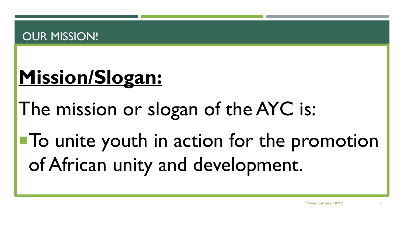#### OUR MISSION!

## **Mission/Slogan:**

The mission or slogan of the AYC is:

To unite youth in action for the promotion of African unity and development.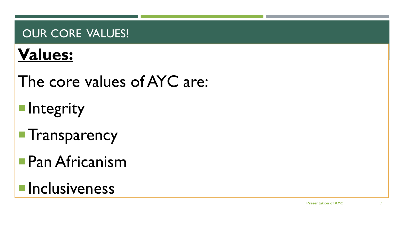#### OUR CORE VALUES!

## **Values:**

The core values of AYC are:

- **Integrity**
- **Transparency**
- Pan Africanism
- **Inclusiveness**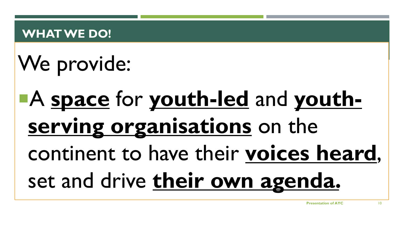#### **WHAT WE DO!**

## We provide:

## A **space** for **youth-led** and **youthserving organisations** on the continent to have their **voices heard**, set and drive **their own agenda.**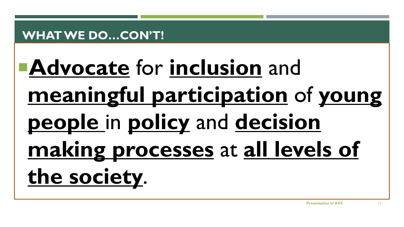#### **WHAT WE DO…CON'T!**

## **Advocate** for **inclusion** and **meaningful participation** of **young people** in **policy** and **decision making processes** at **all levels of the society**.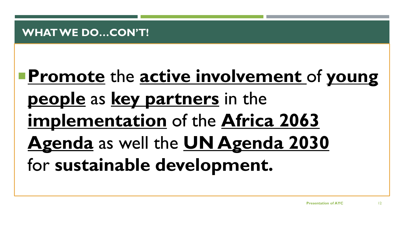## **Promote** the **active involvement** of **young people** as **key partners** in the **implementation** of the **Africa 2063 Agenda** as well the **UN Agenda 2030**  for **sustainable development.**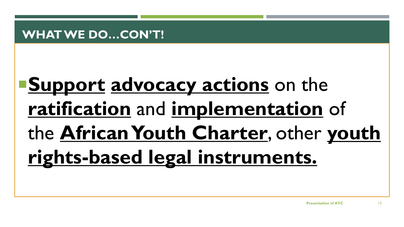#### **WHAT WE DO…CON'T!**

## **Support advocacy actions** on the **ratification** and **implementation** of the **African Youth Charter**, other **youth rights-based legal instruments.**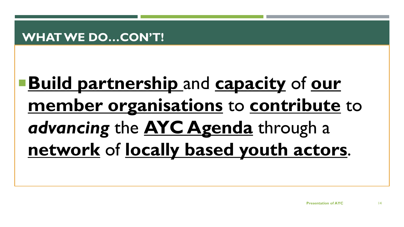**Build partnership** and **capacity** of **our member organisations** to **contribute** to *advancing* the **AYC Agenda** through a **network** of **locally based youth actors**.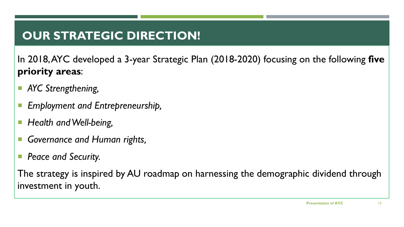### **OUR STRATEGIC DIRECTION!**

In 2018, AYC developed a 3-year Strategic Plan (2018-2020) focusing on the following **five priority areas**:

- *AYC Strengthening,*
- *Employment and Entrepreneurship,*
- Health and Well-being,
- *Governance and Human rights,*
- *Peace and Security.*

The strategy is inspired by AU roadmap on harnessing the demographic dividend through investment in youth.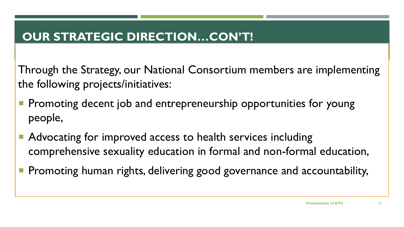### **OUR STRATEGIC DIRECTION…CON'T!**

Through the Strategy, our National Consortium members are implementing the following projects/initiatives:

- Promoting decent job and entrepreneurship opportunities for young people,
- Advocating for improved access to health services including comprehensive sexuality education in formal and non-formal education,
- Promoting human rights, delivering good governance and accountability,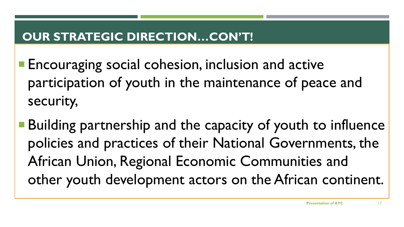### **OUR STRATEGIC DIRECTION…CON'T!**

- **Encouraging social cohesion, inclusion and active** participation of youth in the maintenance of peace and security,
- Building partnership and the capacity of youth to influence policies and practices of their National Governments, the African Union, Regional Economic Communities and other youth development actors on the African continent.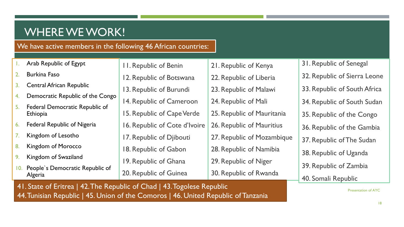#### WHERE WE WORK!

#### We have active members in the following 46 African countries:

|                | Arab Republic of Egypt              | <b>11. Republic of Benin</b>  | 21. Republic of Kenya      | 31. Republic |
|----------------|-------------------------------------|-------------------------------|----------------------------|--------------|
| 2.             | <b>Burkina Faso</b>                 | 12. Republic of Botswana      | 22. Republic of Liberia    | 32. Republio |
| 3.             | <b>Central African Republic</b>     | 13. Republic of Burundi       | 23. Republic of Malawi     | 33. Republic |
| 4.             | Democratic Republic of the Congo    | 14. Republic of Cameroon      | 24. Republic of Mali       | 34. Republio |
| 5.             | Federal Democratic Republic of      |                               | 25. Republic of Mauritania |              |
|                | <b>Ethiopia</b>                     | 15. Republic of Cape Verde    |                            | 35. Republio |
| 6.             | <b>Federal Republic of Nigeria</b>  | 16. Republic of Cote d'Ivoire | 26. Republic of Mauritius  | 36. Republio |
| 7.             | Kingdom of Lesotho                  | 17. Republic of Djibouti      | 27. Republic of Mozambique | 37. Republio |
| 8.             | Kingdom of Morocco                  | 18. Republic of Gabon         | 28. Republic of Namibia    |              |
| 9 <sub>1</sub> | Kingdom of Swaziland                | 19. Republic of Ghana         | 29. Republic of Niger      | 38. Republio |
|                | 10. People's Democratic Republic of | 20. Republic of Guinea        | 30. Republic of Rwanda     | 39. Republio |
|                | Algeria                             |                               |                            | $ADC = 1$    |

41. State of Eritrea | 42. The Republic of Chad | 43. Togolese Republic 44. Tunisian Republic | 45. Union of the Comoros | 46. United Republic of Tanzania

c of Senegal c of Sierra Leone c of South Africa c of South Sudan c of the Congo c of the Gambia c of The Sudan c of Uganda c of Zambia 40. Somali Republic

Presentation of AYC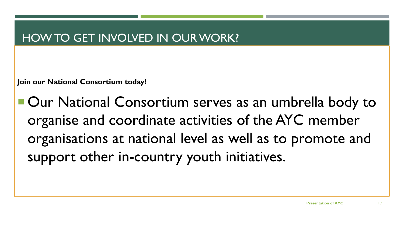#### HOW TO GET INVOLVED IN OUR WORK?

**Join our National Consortium today!**

■ Our National Consortium serves as an umbrella body to organise and coordinate activities of the AYC member organisations at national level as well as to promote and support other in-country youth initiatives.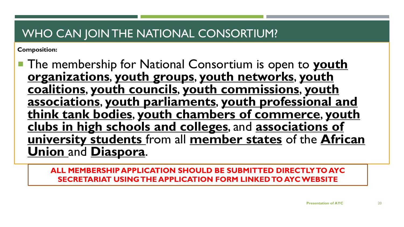#### WHO CAN JOIN THE NATIONAL CONSORTIUM?

**Composition:**

**The membership for National Consortium is open to youth organizations**, **youth groups**, **youth networks**, **youth coalitions**, **youth councils**, **youth commissions**, **youth associations**, **youth parliaments**, **youth professional and think tank bodies**, **youth chambers of commerce**, **youth clubs in high schools and colleges**, and **associations of university students** from all **member states** of the **African Union** and **Diaspora**.

**ALL MEMBERSHIP APPLICATION SHOULD BE SUBMITTED DIRECTLY TO AYC SECRETARIAT USING THE APPLICATION FORM LINKED TO AYC WEBSITE**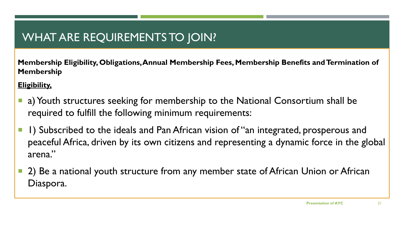### WHAT ARE REQUIREMENTS TO JOIN?

**Membership Eligibility, Obligations, Annual Membership Fees, Membership Benefits and Termination of Membership**

**Eligibility,**

- a) Youth structures seeking for membership to the National Consortium shall be required to fulfill the following minimum requirements:
- **1)** Subscribed to the ideals and Pan African vision of "an integrated, prosperous and peaceful Africa, driven by its own citizens and representing a dynamic force in the global arena."
- 2) Be a national youth structure from any member state of African Union or African Diaspora.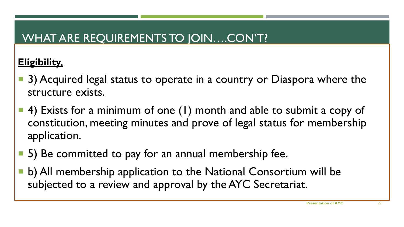### WHAT ARE REQUIREMENTS TO JOIN….CON'T?

#### **Eligibility,**

- 3) Acquired legal status to operate in a country or Diaspora where the structure exists.
- 4) Exists for a minimum of one (1) month and able to submit a copy of constitution, meeting minutes and prove of legal status for membership application.
- 5) Be committed to pay for an annual membership fee.
- b) All membership application to the National Consortium will be subjected to a review and approval by the AYC Secretariat.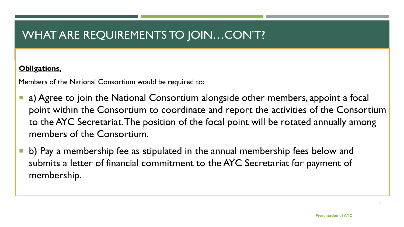#### WHAT ARE REQUIREMENTS TO JOIN…CON'T?

#### **Obligations,**

Members of the National Consortium would be required to:

- a) Agree to join the National Consortium alongside other members, appoint a focal point within the Consortium to coordinate and report the activities of the Consortium to the AYC Secretariat. The position of the focal point will be rotated annually among members of the Consortium.
- b) Pay a membership fee as stipulated in the annual membership fees below and submits a letter of financial commitment to the AYC Secretariat for payment of membership.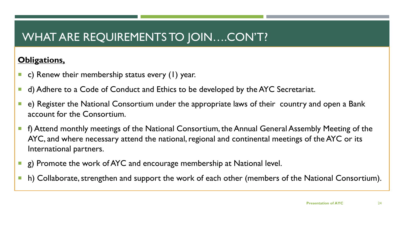### WHAT ARE REQUIREMENTS TO JOIN….CON'T?

#### **Obligations,**

- **c) Renew their membership status every (1) year.**
- **d)** Adhere to a Code of Conduct and Ethics to be developed by the AYC Secretariat.
- e) Register the National Consortium under the appropriate laws of their country and open a Bank account for the Consortium.
- **F** f) Attend monthly meetings of the National Consortium, the Annual General Assembly Meeting of the AYC, and where necessary attend the national, regional and continental meetings of the AYC or its International partners.
- **E** g) Promote the work of AYC and encourage membership at National level.
- **h**) Collaborate, strengthen and support the work of each other (members of the National Consortium).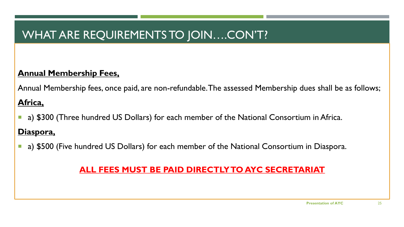### WHAT ARE REQUIREMENTS TO JOIN….CON'T?

#### **Annual Membership Fees,**

Annual Membership fees, once paid, are non-refundable. The assessed Membership dues shall be as follows;

#### **Africa,**

a) \$300 (Three hundred US Dollars) for each member of the National Consortium in Africa.

#### **Diaspora,**

a) \$500 (Five hundred US Dollars) for each member of the National Consortium in Diaspora.

#### **ALL FEES MUST BE PAID DIRECTLY TO AYC SECRETARIAT**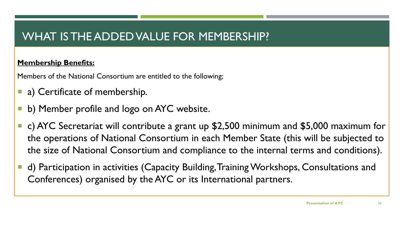#### WHAT IS THE ADDED VALUE FOR MEMBERSHIP?

#### **Membership Benefits:**

Members of the National Consortium are entitled to the following;

- **a)** Certificate of membership.
- b) Member profile and logo on AYC website.
- c) AYC Secretariat will contribute a grant up \$2,500 minimum and \$5,000 maximum for the operations of National Consortium in each Member State (this will be subjected to the size of National Consortium and compliance to the internal terms and conditions).
- d) Participation in activities (Capacity Building, Training Workshops, Consultations and Conferences) organised by the AYC or its International partners.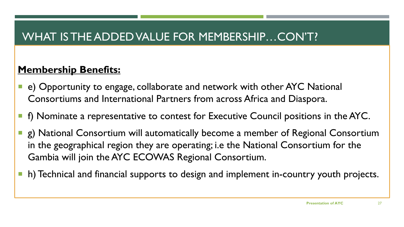#### WHAT IS THE ADDED VALUE FOR MEMBERSHIP…CON'T?

#### **Membership Benefits:**

- e) Opportunity to engage, collaborate and network with other AYC National Consortiums and International Partners from across Africa and Diaspora.
- **f** f) Nominate a representative to contest for Executive Council positions in the AYC.
- g) National Consortium will automatically become a member of Regional Consortium in the geographical region they are operating; i.e the National Consortium for the Gambia will join the AYC ECOWAS Regional Consortium.
- h) Technical and financial supports to design and implement in-country youth projects.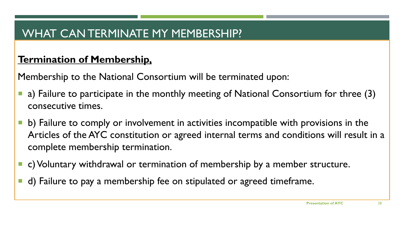#### WHAT CAN TERMINATE MY MEMBERSHIP?

#### **Termination of Membership,**

Membership to the National Consortium will be terminated upon:

- a) Failure to participate in the monthly meeting of National Consortium for three (3) consecutive times.
- **b**) Failure to comply or involvement in activities incompatible with provisions in the Articles of the AYC constitution or agreed internal terms and conditions will result in a complete membership termination.
- c) Voluntary withdrawal or termination of membership by a member structure.
- d) Failure to pay a membership fee on stipulated or agreed timeframe.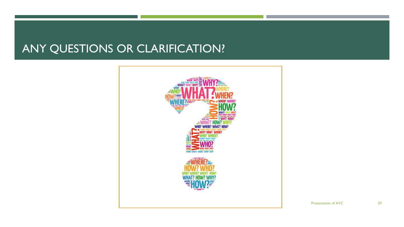#### ANY QUESTIONS OR CLARIFICATION?